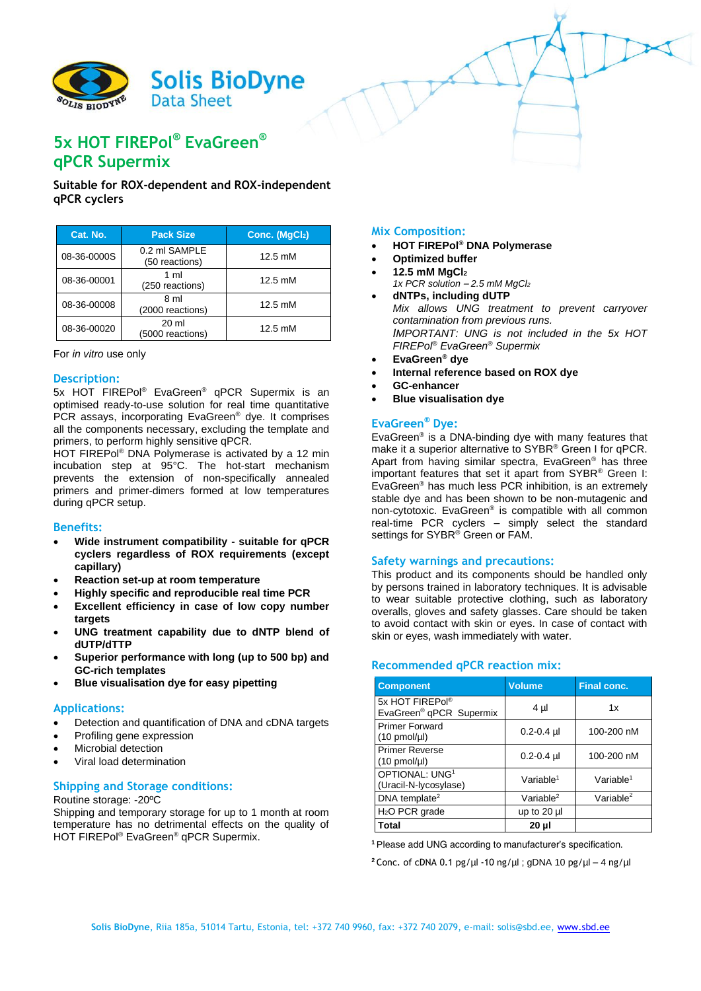

# **5x HOT FIREPol® EvaGreen® qPCR Supermix**

## **Suitable for ROX-dependent and ROX-independent qPCR cyclers**

| Cat. No.    | <b>Pack Size</b>                     | Conc. (MgCl2)     |
|-------------|--------------------------------------|-------------------|
| 08-36-0000S | 0.2 ml SAMPLE<br>(50 reactions)      | $12.5 \text{ mM}$ |
| 08-36-00001 | 1 ml<br>(250 reactions)              | 12.5 mM           |
| 08-36-00008 | 8 ml<br>(2000 reactions)             | $12.5 \text{ mM}$ |
| 08-36-00020 | $20 \mathrm{ml}$<br>(5000 reactions) | $12.5 \text{ mM}$ |

For *in vitro* use only

## **Description:**

5x HOT FIREPol® EvaGreen® qPCR Supermix is an optimised ready-to-use solution for real time quantitative PCR assays, incorporating EvaGreen® dye. It comprises all the components necessary, excluding the template and primers, to perform highly sensitive qPCR.

HOT FIREPol® DNA Polymerase is activated by a 12 min incubation step at 95°C. The hot-start mechanism prevents the extension of non-specifically annealed primers and primer-dimers formed at low temperatures during qPCR setup.

## **Benefits:**

- **Wide instrument compatibility - suitable for qPCR cyclers regardless of ROX requirements (except capillary)**
- **Reaction set-up at room temperature**
- **Highly specific and reproducible real time PCR**
- **Excellent efficiency in case of low copy number targets**
- **UNG treatment capability due to dNTP blend of dUTP/dTTP**
- **Superior performance with long (up to 500 bp) and GC-rich templates**
- **Blue visualisation dye for easy pipetting**

#### **Applications:**

- Detection and quantification of DNA and cDNA targets
- Profiling gene expression
- Microbial detection
- Viral load determination

## **Shipping and Storage conditions:**

#### Routine storage: -20ºC

Shipping and temporary storage for up to 1 month at room temperature has no detrimental effects on the quality of HOT FIREPol® EvaGreen® qPCR Supermix.

**Mix Composition:**

- **HOT FIREPol® DNA Polymerase**
- **Optimized buffer**
- **12.5 mM MgCl<sup>2</sup>**
- *1x PCR solution – 2.5 mM MgCl<sup>2</sup>*
- **dNTPs, including dUTP** *Mix allows UNG treatment to prevent carryover contamination from previous runs. IMPORTANT: UNG is not included in the 5x HOT FIREPol® EvaGreen® Supermix*
- **EvaGreen® dye**
- **Internal reference based on ROX dye**
- **GC-enhancer**
- **Blue visualisation dye**

## **EvaGreen® Dye:**

EvaGreen® is a DNA-binding dye with many features that make it a superior alternative to SYBR® Green I for qPCR. Apart from having similar spectra, EvaGreen® has three important features that set it apart from SYBR® Green I: EvaGreen® has much less PCR inhibition, is an extremely stable dye and has been shown to be non-mutagenic and non-cytotoxic. EvaGreen® is compatible with all common real-time PCR cyclers – simply select the standard settings for SYBR<sup>®</sup> Green or FAM.

### **Safety warnings and precautions:**

This product and its components should be handled only by persons trained in laboratory techniques. It is advisable to wear suitable protective clothing, such as laboratory overalls, gloves and safety glasses. Care should be taken to avoid contact with skin or eyes. In case of contact with skin or eyes, wash immediately with water.

#### **Recommended qPCR reaction mix:**

| <b>Component</b>                                       | <b>Volume</b>         | <b>Final conc.</b>    |
|--------------------------------------------------------|-----------------------|-----------------------|
| 5x HOT FIREPol®<br>EvaGreen <sup>®</sup> qPCR Supermix | $4 \mu$               | 1x                    |
| <b>Primer Forward</b><br>$(10 \text{ pmol/}\mu l)$     | $0.2 - 0.4$ µ         | 100-200 nM            |
| <b>Primer Reverse</b><br>$(10 \text{ pmol/}\mu l)$     | $0.2 - 0.4$ µ         | 100-200 nM            |
| OPTIONAL: UNG <sup>1</sup><br>(Uracil-N-lycosylase)    | Variable <sup>1</sup> | Variable <sup>1</sup> |
| DNA template <sup>2</sup>                              | Variable $2$          | Variable $^2$         |
| H <sub>2</sub> O PCR grade                             | up to 20 µl           |                       |
| Total                                                  | 20 µl                 |                       |

**<sup>1</sup>**Please add UNG according to manufacturer's specification.

<sup>2</sup> Conc. of cDNA 0.1 pg/ $\mu$ l -10 ng/ $\mu$ l; gDNA 10 pg/ $\mu$ l – 4 ng/ $\mu$ l